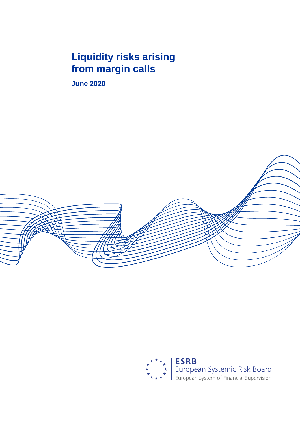# **Liquidity risks arising from margin calls**

**June 2020**



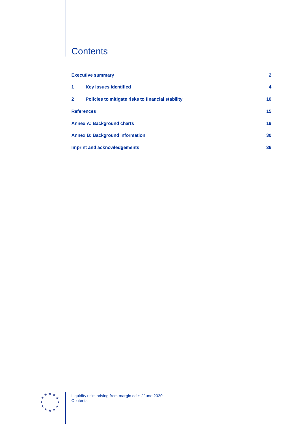# **Contents**

|                                     | <b>Executive summary</b>                          | $\mathbf{2}$ |
|-------------------------------------|---------------------------------------------------|--------------|
| -1                                  | <b>Key issues identified</b>                      | 4            |
| $\mathbf{2}$                        | Policies to mitigate risks to financial stability | 10           |
| <b>References</b>                   |                                                   | 15           |
|                                     | <b>Annex A: Background charts</b>                 | 19           |
|                                     | <b>Annex B: Background information</b>            | 30           |
| <b>Imprint and acknowledgements</b> |                                                   | 36           |

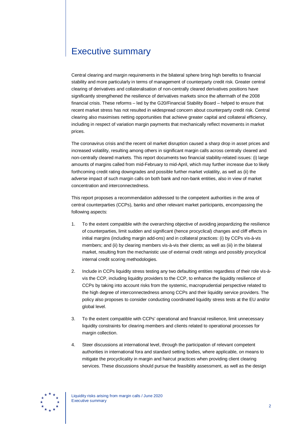# <span id="page-2-0"></span>Executive summary

Central clearing and margin requirements in the bilateral sphere bring high benefits to financial stability and more particularly in terms of management of counterparty credit risk. Greater central clearing of derivatives and collateralisation of non-centrally cleared derivatives positions have significantly strengthened the resilience of derivatives markets since the aftermath of the 2008 financial crisis. These reforms – led by the G20/Financial Stability Board – helped to ensure that recent market stress has not resulted in widespread concern about counterparty credit risk. Central clearing also maximises netting opportunities that achieve greater capital and collateral efficiency, including in respect of variation margin payments that mechanically reflect movements in market prices.

The coronavirus crisis and the recent oil market disruption caused a sharp drop in asset prices and increased volatility, resulting among others in significant margin calls across centrally cleared and non-centrally cleared markets. This report documents two financial stability-related issues: (i) large amounts of margins called from mid-February to mid-April, which may further increase due to likely forthcoming credit rating downgrades and possible further market volatility, as well as (ii) the adverse impact of such margin calls on both bank and non-bank entities, also in view of market concentration and interconnectedness.

This report proposes a recommendation addressed to the competent authorities in the area of central counterparties (CCPs), banks and other relevant market participants, encompassing the following aspects:

- 1. To the extent compatible with the overarching objective of avoiding jeopardizing the resilience of counterparties, limit sudden and significant (hence procyclical) changes and cliff effects in initial margins (including margin add-ons) and in collateral practices: (i) by CCPs vis-à-vis members; and (ii) by clearing members vis-à-vis their clients; as well as (iii) in the bilateral market, resulting from the mechanistic use of external credit ratings and possibly procyclical internal credit scoring methodologies.
- 2. Include in CCPs liquidity stress testing any two defaulting entities regardless of their role vis-àvis the CCP, including liquidity providers to the CCP, to enhance the liquidity resilience of CCPs by taking into account risks from the systemic, macroprudential perspective related to the high degree of interconnectedness among CCPs and their liquidity service providers. The policy also proposes to consider conducting coordinated liquidity stress tests at the EU and/or global level.
- 3. To the extent compatible with CCPs' operational and financial resilience, limit unnecessary liquidity constraints for clearing members and clients related to operational processes for margin collection.
- 4. Steer discussions at international level, through the participation of relevant competent authorities in international fora and standard setting bodies, where applicable, on means to mitigate the procyclicality in margin and haircut practices when providing client clearing services. These discussions should pursue the feasibility assessment, as well as the design

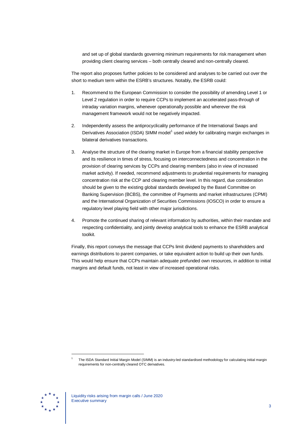and set up of global standards governing minimum requirements for risk management when providing client clearing services – both centrally cleared and non-centrally cleared.

The report also proposes further policies to be considered and analyses to be carried out over the short to medium term within the ESRB's structures. Notably, the ESRB could:

- 1. Recommend to the European Commission to consider the possibility of amending Level 1 or Level 2 regulation in order to require CCPs to implement an accelerated pass-through of intraday variation margins, whenever operationally possible and wherever the risk management framework would not be negatively impacted.
- 2. Independently assess the antiprocyclicality performance of the International Swaps and Derivatives Association (ISDA) SIMM model<sup>[1](#page-3-0)</sup> used widely for calibrating margin exchanges in bilateral derivatives transactions.
- 3. Analyse the structure of the clearing market in Europe from a financial stability perspective and its resilience in times of stress, focusing on interconnectedness and concentration in the provision of clearing services by CCPs and clearing members (also in view of increased market activity). If needed, recommend adjustments to prudential requirements for managing concentration risk at the CCP and clearing member level. In this regard, due consideration should be given to the existing global standards developed by the Basel Committee on Banking Supervision (BCBS), the committee of Payments and market infrastructures (CPMI) and the International Organization of Securities Commissions (IOSCO) in order to ensure a regulatory level playing field with other major jurisdictions.
- 4. Promote the continued sharing of relevant information by authorities, within their mandate and respecting confidentiality, and jointly develop analytical tools to enhance the ESRB analytical toolkit.

Finally, this report conveys the message that CCPs limit dividend payments to shareholders and earnings distributions to parent companies, or take equivalent action to build up their own funds. This would help ensure that CCPs maintain adequate prefunded own resources, in addition to initial margins and default funds, not least in view of increased operational risks.

<span id="page-3-0"></span>

<sup>1</sup> The ISDA Standard Initial Margin Model (SIMM) is an industry-led standardised methodology for calculating initial margin requirements for non-centrally cleared OTC derivatives.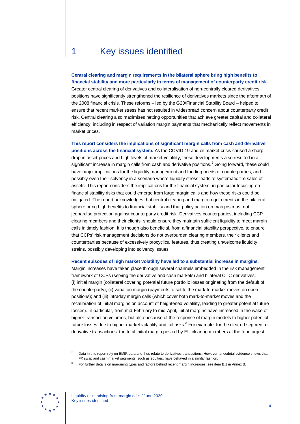# <span id="page-4-0"></span>1 Key issues identified

**Central clearing and margin requirements in the bilateral sphere bring high benefits to financial stability and more particularly in terms of management of counterparty credit risk.** Greater central clearing of derivatives and collateralisation of non-centrally cleared derivatives positions have significantly strengthened the resilience of derivatives markets since the aftermath of the 2008 financial crisis. These reforms – led by the G20/Financial Stability Board – helped to ensure that recent market stress has not resulted in widespread concern about counterparty credit risk. Central clearing also maximises netting opportunities that achieve greater capital and collateral efficiency, including in respect of variation margin payments that mechanically reflect movements in market prices.

**This report considers the implications of significant margin calls from cash and derivative positions across the financial system.** As the COVID-19 and oil market crisis caused a sharp drop in asset prices and high levels of market volatility, these developments also resulted in a significant increase in margin calls from cash and derivative positions.<sup>[2](#page-4-1)</sup> Going forward, these could have major implications for the liquidity management and funding needs of counterparties, and possibly even their solvency in a scenario where liquidity stress leads to systematic fire sales of assets. This report considers the implications for the financial system, in particular focusing on financial stability risks that could emerge from large margin calls and how these risks could be mitigated. The report acknowledges that central clearing and margin requirements in the bilateral sphere bring high benefits to financial stability and that policy action on margins must not jeopardise protection against counterparty credit risk. Derivatives counterparties, including CCP clearing members and their clients, should ensure they maintain sufficient liquidity to meet margin calls in timely fashion. It is though also beneficial, from a financial stability perspective, to ensure that CCPs' risk management decisions do not overburden clearing members, their clients and counterparties because of excessively procyclical features, thus creating unwelcome liquidity strains, possibly developing into solvency issues.

#### **Recent episodes of high market volatility have led to a substantial increase in margins.**

Margin increases have taken place through several channels embedded in the risk management framework of CCPs (serving the derivative and cash markets) and bilateral OTC derivatives: (i) initial margin (collateral covering potential future portfolio losses originating from the default of the counterparty); (ii) variation margin (payments to settle the mark-to-market moves on open positions); and (iii) intraday margin calls (which cover both mark-to-market moves and the recalibration of initial margins on account of heightened volatility, leading to greater potential future losses). In particular, from mid-February to mid-April, initial margins have increased in the wake of higher transaction volumes, but also because of the response of margin models to higher potential future losses due to higher market volatility and tail risks. $3$  For example, for the cleared segment of derivative transactions, the total initial margin posted by EU clearing members at the four largest

<span id="page-4-2"></span><span id="page-4-1"></span>

Data in this report rely on EMIR data and thus relate to derivatives transactions. However, anecdotal evidence shows that FX swap and cash market segments, such as equities, have behaved in a similar fashion.

<sup>3</sup> For further details on margining types and factors behind recent margin increases, see item B.1 in Annex B.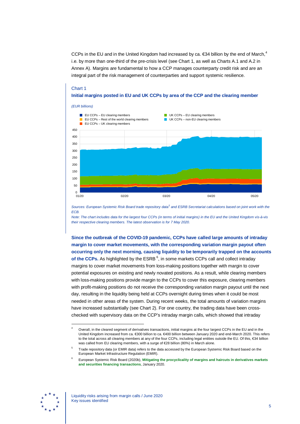CCPs in the EU and in the United Kingdom had increased by ca.  $\epsilon$ 3[4](#page-5-0) billion by the end of March,<sup>4</sup> i.e. by more than one-third of the pre-crisis level (see Chart 1, as well as Charts A.1 and A.2 in Annex A). Margins are fundamental to how a CCP manages counterparty credit risk and are an integral part of the risk management of counterparties and support systemic resilience.

#### Chart 1 **Initial margins posted in EU and UK CCPs by area of the CCP and the clearing member**



*Sources: European Systemic Risk Board trade repository data[5](#page-5-1) and ESRB Secretariat calculations based on joint work with the ECB.*

*Note: The chart includes data for the largest four CCPs (in terms of initial margins) in the EU and the United Kingdom vis-à-vis their respective clearing members. The latest observation is for 7 May 2020.*

**Since the outbreak of the COVID-19 pandemic, CCPs have called large amounts of intraday margin to cover market movements, with the corresponding variation margin payout often occurring only the next morning, causing liquidity to be temporarily trapped on the accounts**  of the CCPs. As highlighted by the ESRB <sup>[6](#page-5-2)</sup>, in some markets CCPs call and collect intraday margins to cover market movements from loss-making positions together with margin to cover potential exposures on existing and newly novated positions. As a result, while clearing members with loss-making positions provide margin to the CCPs to cover this exposure, clearing members with profit-making positions do not receive the corresponding variation margin payout until the next day, resulting in the liquidity being held at CCPs overnight during times when it could be most needed in other areas of the system. During recent weeks, the total amounts of variation margins have increased substantially (see Chart 2). For one country, the trading data have been crosschecked with supervisory data on the CCP's intraday margin calls, which showed that intraday

<span id="page-5-2"></span><span id="page-5-1"></span>

<span id="page-5-0"></span>Overall, in the cleared segment of derivatives transactions, initial margins at the four largest CCPs in the EU and in the United Kingdom increased from ca. €300 billion to ca. €400 billion between January 2020 and end-March 2020. This refers to the total across all clearing members at any of the four CCPs, including legal entities outside the EU. Of this, €34 billion was called from EU clearing members, with a surge of €28 billion (80%) in March alone.

<sup>5</sup> Trade repository data (or EMIR data) refers to the data accessed by the European Systemic Risk Board based on the European Market Infrastructure Regulation (EMIR).

<sup>6</sup> European Systemic Risk Board (2020b), **[Mitigating the procyclicality of margins and haircuts in derivatives markets](https://www.esrb.europa.eu/pub/pdf/reports/esrb.report_200109_mitigating_procyclicality_margins_haricuts%7E0f3e9f9e48.en.pdf)  [and securities financing transactions](https://www.esrb.europa.eu/pub/pdf/reports/esrb.report_200109_mitigating_procyclicality_margins_haricuts%7E0f3e9f9e48.en.pdf)**, January 2020.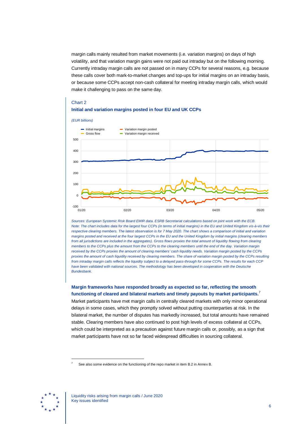margin calls mainly resulted from market movements (i.e. variation margins) on days of high volatility, and that variation margin gains were not paid out intraday but on the following morning. Currently intraday margin calls are not passed on in many CCPs for several reasons, e.g. because these calls cover both mark-to-market changes and top-ups for initial margins on an intraday basis, or because some CCPs accept non-cash collateral for meeting intraday margin calls, which would make it challenging to pass on the same day.

### Chart 2 **Initial and variation margins posted in four EU and UK CCPs**



*Sources: European Systemic Risk Board EMIR data. ESRB Secretariat calculations based on joint work with the ECB. Note: The chart includes data for the largest four CCPs (in terms of initial margins) in the EU and United Kingdom vis-à-vis their respective clearing members. The latest observation is for 7 May 2020. The chart shows a comparison of initial and variation margins posted and received at the four largest CCPs in the EU and the United Kingdom by initial margins (clearing members from all jurisdictions are included in the aggregates). Gross flows proxies the total amount of liquidity flowing from clearing members to the CCPs plus the amount from the CCPs to the clearing members until the end of the day. Variation margin*  received by the CCPs proxies the amount of clearing members' cash liquidity needs. Variation margin posted by the CCPs *proxies the amount of cash liquidity received by clearing members. The share of variation margin posted by the CCPs resulting from intraday margin calls reflects the liquidity subject to a delayed pass-through for some CCPs. The results for each CCP have been validated with national sources. The methodology has been developed in cooperation with the Deutsche Bundesbank.*

**Margin frameworks have responded broadly as expected so far, reflecting the smooth functioning of cleared and bilateral markets and timely payouts by market participants.** [7](#page-6-0)

Market participants have met margin calls in centrally cleared markets with only minor operational delays in some cases, which they promptly solved without putting counterparties at risk. In the bilateral market, the number of disputes has markedly increased, but total amounts have remained stable. Clearing members have also continued to post high levels of excess collateral at CCPs, which could be interpreted as a precaution against future margin calls or, possibly, as a sign that market participants have not so far faced widespread difficulties in sourcing collateral.

<span id="page-6-0"></span>

See also some evidence on the functioning of the repo market in item B.2 in Annex B.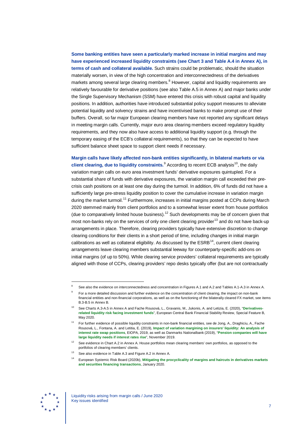**Some banking entities have seen a particularly marked increase in initial margins and may have experienced increased liquidity constraints (see Chart 3 and Table A.4 in Annex A), in terms of cash and collateral available.** Such strains could be problematic, should the situation materially worsen, in view of the high concentration and interconnectedness of the derivatives markets among several large clearing members.<sup>[8](#page-7-0)</sup> However, capital and liquidity requirements are relatively favourable for derivative positions (see also Table A.5 in Annex A) and major banks under the Single Supervisory Mechanism (SSM) have entered this crisis with robust capital and liquidity positions. In addition, authorities have introduced substantial policy support measures to alleviate potential liquidity and solvency strains and have incentivised banks to make prompt use of their buffers. Overall, so far major European clearing members have not reported any significant delays in meeting margin calls. Currently, major euro area clearing members exceed regulatory liquidity requirements, and they now also have access to additional liquidity support (e.g. through the temporary easing of the ECB's collateral requirements), so that they can be expected to have sufficient balance sheet space to support client needs if necessary.

**Margin calls have likely affected non-bank entities significantly, in bilateral markets or via client clearing, due to liquidity constraints.**<sup>[9](#page-7-1)</sup> According to recent ECB analysis<sup>10</sup>, the daily variation margin calls on euro area investment funds' derivative exposures quintupled. For a substantial share of funds with derivative exposures, the variation margin call exceeded their precrisis cash positions on at least one day during the turmoil. In addition, 6% of funds did not have a sufficiently large pre-stress liquidity position to cover the cumulative increase in variation margin during the market turmoil.<sup>[11](#page-7-3)</sup> Furthermore, increases in initial margins posted at CCPs during March 2020 stemmed mainly from client portfolios and to a somewhat lesser extent from house portfolios (due to comparatively limited house business).<sup>[12](#page-7-4)</sup> Such developments may be of concern given that most non-banks rely on the services of only one client clearing provider<sup>[13](#page-7-5)</sup> and do not have back-up arrangements in place. Therefore, clearing providers typically have extensive discretion to change clearing conditions for their clients in a short period of time, including changes in initial margin calibrations as well as collateral eligibility. As discussed by the  $ESRB^{14}$ , current client clearing arrangements leave clearing members substantial leeway for counterparty-specific add-ons on initial margins (of up to 50%). While clearing service providers' collateral requirements are typically aligned with those of CCPs, clearing providers' repo desks typically offer (but are not contractually

<span id="page-7-6"></span><span id="page-7-5"></span><span id="page-7-4"></span>

<span id="page-7-1"></span><span id="page-7-0"></span>See also the evidence on interconnectedness and concentration in Figures A.1 and A.2 and Tables A.1-A.3 in Annex A.

<sup>9</sup> For a more detailed discussion and further evidence on the concentration of client clearing, the impact on non-bank financial entities and non-financial corporations, as well as on the functioning of the bilaterally cleared FX market, see items B.3-B.5 in Annex B.

<span id="page-7-2"></span><sup>10</sup> See Charts A.3-A.5 in Annex A and Fache Rousová, L., Gravanis, M., Jukonis, A. and Letizia, E. (2020), "**[Derivatives](https://www.ecb.europa.eu/pub/financial-stability/fsr/html/index.en.html)[related liquidity risk facing investment funds](https://www.ecb.europa.eu/pub/financial-stability/fsr/html/index.en.html)**", European Central Bank Financial Stability Review, Special Feature B, May 2020.

<span id="page-7-3"></span><sup>11</sup> For further evidence of possible liquidity constraints in non-bank financial entities, see de Jong, A., Draghiciu, A., Fache Rousová, L., Fontana, A. and Letitia, E. (2019), **[Impact of variation margining on insurers' liquidity: An analysis of](https://www.eiopa.europa.eu/content/impact-variation-margining-eu-insurers-liquidity-analysis-interest-rate-swaps-positions_en)  [interest rate swap positions](https://www.eiopa.europa.eu/content/impact-variation-margining-eu-insurers-liquidity-analysis-interest-rate-swaps-positions_en)**, EIOPA, 2019, as well as Danmarks Nationalbank (2019), "**[Pension companies will have](http://www.nationalbanken.dk/en/publications/Documents/2019/11/ANALYSIS_No%2023_Pension%20companies%20will%20have%20large%20liquidity%20needs%20if%20interest%20rates%20rise.pdf)  [large liquidity needs if interest rates rise](http://www.nationalbanken.dk/en/publications/Documents/2019/11/ANALYSIS_No%2023_Pension%20companies%20will%20have%20large%20liquidity%20needs%20if%20interest%20rates%20rise.pdf)**", November 2019.

See evidence in Chart A.2 in Annex A. House portfolios mean clearing members' own portfolios, as opposed to the portfolios of clearing members' clients.

See also evidence in Table A.3 and Figure A.2 in Annex A.

<sup>14</sup> European Systemic Risk Board (2020b), **[Mitigating the procyclicality of margins and](https://www.esrb.europa.eu/pub/pdf/reports/esrb.report_200109_mitigating_procyclicality_margins_haricuts%7E0f3e9f9e48.en.pdf) haircuts in derivatives markets [and securities financing transactions](https://www.esrb.europa.eu/pub/pdf/reports/esrb.report_200109_mitigating_procyclicality_margins_haricuts%7E0f3e9f9e48.en.pdf)**, January 2020.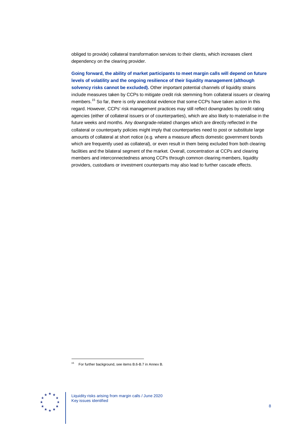obliged to provide) collateral transformation services to their clients, which increases client dependency on the clearing provider.

**Going forward, the ability of market participants to meet margin calls will depend on future levels of volatility and the ongoing resilience of their liquidity management (although solvency risks cannot be excluded).** Other important potential channels of liquidity strains include measures taken by CCPs to mitigate credit risk stemming from collateral issuers or clearing members.[15](#page-8-0) So far, there is only anecdotal evidence that some CCPs have taken action in this regard. However, CCPs' risk management practices may still reflect downgrades by credit rating agencies (either of collateral issuers or of counterparties), which are also likely to materialise in the future weeks and months. Any downgrade-related changes which are directly reflected in the collateral or counterparty policies might imply that counterparties need to post or substitute large amounts of collateral at short notice (e.g. where a measure affects domestic government bonds which are frequently used as collateral), or even result in them being excluded from both clearing facilities and the bilateral segment of the market. Overall, concentration at CCPs and clearing members and interconnectedness among CCPs through common clearing members, liquidity providers, custodians or investment counterparts may also lead to further cascade effects.

<span id="page-8-0"></span>

<sup>15</sup> For further background, see items B.6-B.7 in Annex B.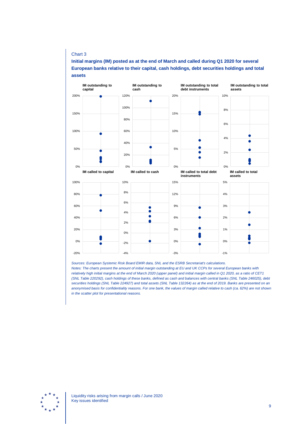#### Chart 3

**Initial margins (IM) posted as at the end of March and called during Q1 2020 for several European banks relative to their capital, cash holdings, debt securities holdings and total assets**



#### *Sources: European Systemic Risk Board EMIR data, SNL and the ESRB Secretariat's calculations.*

*Notes: The charts present the amount of initial margin outstanding at EU and UK CCPs for several European banks with relatively high initial margins at the end of March 2020 (upper panel) and initial margin called in Q1 2020, as a ratio of CET1 (SNL Table 220292), cash holdings of these banks, defined as cash and balances with central banks (SNL Table 246025), debt securities holdings (SNL Table 224927) and total assets (SNL Table 132264) as at the end of 2019. Banks are presented on an anonymised basis for confidentiality reasons. For one bank, the values of margin called relative to cash (ca. 62%) are not shown in the scatter plot for presentational reasons.*

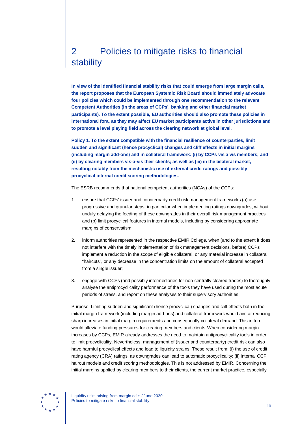# <span id="page-10-0"></span>2 Policies to mitigate risks to financial stability

**In view of the identified financial stability risks that could emerge from large margin calls, the report proposes that the European Systemic Risk Board should immediately advocate four policies which could be implemented through one recommendation to the relevant Competent Authorities (in the areas of CCPs', banking and other financial market participants). To the extent possible, EU authorities should also promote these policies in international fora, as they may affect EU market participants active in other jurisdictions and to promote a level playing field across the clearing network at global level.**

**Policy 1. To the extent compatible with the financial resilience of counterparties, limit sudden and significant (hence procyclical) changes and cliff effects in initial margins (including margin add-ons) and in collateral framework: (i) by CCPs vis à vis members; and (ii) by clearing members vis-à-vis their clients; as well as (iii) in the bilateral market, resulting notably from the mechanistic use of external credit ratings and possibly procyclical internal credit scoring methodologies.**

The ESRB recommends that national competent authorities (NCAs) of the CCPs:

- 1. ensure that CCPs' issuer and counterparty credit risk management frameworks (a) use progressive and granular steps, in particular when implementing ratings downgrades, without unduly delaying the feeding of these downgrades in their overall risk management practices and (b) limit procyclical features in internal models, including by considering appropriate margins of conservatism;
- 2. inform authorities represented in the respective EMIR College, when (and to the extent it does not interfere with the timely implementation of risk management decisions, before) CCPs implement a reduction in the scope of eligible collateral, or any material increase in collateral "haircuts", or any decrease in the concentration limits on the amount of collateral accepted from a single issuer;
- 3. engage with CCPs (and possibly intermediaries for non-centrally cleared trades) to thoroughly analyse the antiprocyclicality performance of the tools they have used during the most acute periods of stress, and report on these analyses to their supervisory authorities.

Purpose: Limiting sudden and significant (hence procyclical) changes and cliff effects both in the initial margin framework (including margin add-ons) and collateral framework would aim at reducing sharp increases in initial margin requirements and consequently collateral demand. This in turn would alleviate funding pressures for clearing members and clients.When considering margin increases by CCPs, EMIR already addresses the need to maintain antiprocyclicality tools in order to limit procyclicality. Nevertheless, management of (issuer and counterparty) credit risk can also have harmful procyclical effects and lead to liquidity strains. These result from: (i) the use of credit rating agency (CRA) ratings, as downgrades can lead to automatic procyclicality; (ii) internal CCP haircut models and credit scoring methodologies. This is not addressed by EMIR. Concerning the initial margins applied by clearing members to their clients, the current market practice, especially



Liquidity risks arising from margin calls / June 2020 Policies to mitigate risks to financial stability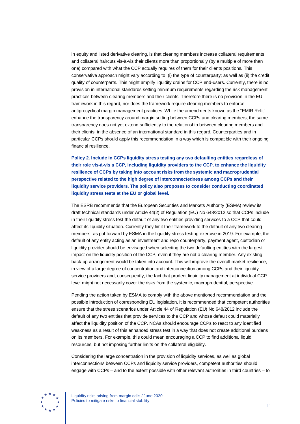in equity and listed derivative clearing, is that clearing members increase collateral requirements and collateral haircuts vis-à-vis their clients more than proportionally (by a multiple of more than one) compared with what the CCP actually requires of them for their clients positions. This conservative approach might vary according to: (i) the type of counterparty; as well as (ii) the credit quality of counterparts. This might amplify liquidity drains for CCP end-users. Currently, there is no provision in international standards setting minimum requirements regarding the risk management practices between clearing members and their clients. Therefore there is no provision in the EU framework in this regard, nor does the framework require clearing members to enforce antiprocyclical margin management practices. While the amendments known as the "EMIR Refit" enhance the transparency around margin setting between CCPs and clearing members, the same transparency does not yet extend sufficiently to the relationship between clearing members and their clients, in the absence of an international standard in this regard. Counterparties and in particular CCPs should apply this recommendation in a way which is compatible with their ongoing financial resilience.

**Policy 2. Include in CCPs liquidity stress testing any two defaulting entities regardless of their role vis-à-vis a CCP, including liquidity providers to the CCP, to enhance the liquidity resilience of CCPs by taking into account risks from the systemic and macroprudential perspective related to the high degree of interconnectedness among CCPs and their liquidity service providers. The policy also proposes to consider conducting coordinated liquidity stress tests at the EU or global level.**

The ESRB recommends that the European Securities and Markets Authority (ESMA) review its draft technical standards under Article 44(2) of Regulation (EU) No 648/2012 so that CCPs include in their liquidity stress test the default of any two entities providing services to a CCP that could affect its liquidity situation. Currently they limit their framework to the default of any two clearing members, as put forward by ESMA in the liquidity stress testing exercise in 2019. For example, the default of any entity acting as an investment and repo counterparty, payment agent, custodian or liquidity provider should be envisaged when selecting the two defaulting entities with the largest impact on the liquidity position of the CCP, even if they are not a clearing member. Any existing back-up arrangement would be taken into account. This will improve the overall market resilience, in view of a large degree of concentration and interconnection among CCPs and their liquidity service providers and, consequently, the fact that prudent liquidity management at individual CCP level might not necessarily cover the risks from the systemic, macroprudential, perspective.

Pending the action taken by ESMA to comply with the above mentioned recommendation and the possible introduction of corresponding EU legislation, it is recommended that competent authorities ensure that the stress scenarios under Article 44 of Regulation (EU) No 648/2012 include the default of any two entities that provide services to the CCP and whose default could materially affect the liquidity position of the CCP. NCAs should encourage CCPs to react to any identified weakness as a result of this enhanced stress test in a way that does not create additional burdens on its members. For example, this could mean encouraging a CCP to find additional liquid resources, but not imposing further limits on the collateral eligibility.

Considering the large concentration in the provision of liquidity services, as well as global interconnections between CCPs and liquidity service providers, competent authorities should engage with CCPs – and to the extent possible with other relevant authorities in third countries – to



Liquidity risks arising from margin calls / June 2020 Policies to mitigate risks to financial stability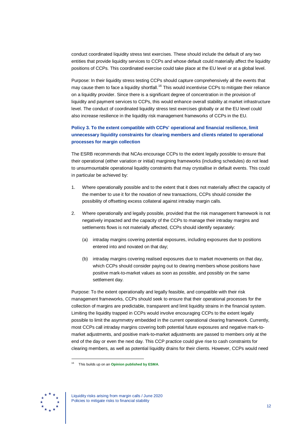conduct coordinated liquidity stress test exercises. These should include the default of any two entities that provide liquidity services to CCPs and whose default could materially affect the liquidity positions of CCPs. This coordinated exercise could take place at the EU level or at a global level.

Purpose: In their liquidity stress testing CCPs should capture comprehensively all the events that may cause them to face a liquidity shortfall.<sup>[16](#page-12-0)</sup> This would incentivise CCPs to mitigate their reliance on a liquidity provider. Since there is a significant degree of concentration in the provision of liquidity and payment services to CCPs, this would enhance overall stability at market infrastructure level. The conduct of coordinated liquidity stress test exercises globally or at the EU level could also increase resilience in the liquidity risk management frameworks of CCPs in the EU.

### **Policy 3. To the extent compatible with CCPs' operational and financial resilience, limit unnecessary liquidity constraints for clearing members and clients related to operational processes for margin collection**

The ESRB recommends that NCAs encourage CCPs to the extent legally possible to ensure that their operational (either variation or initial) margining frameworks (including schedules) do not lead to unsurmountable operational liquidity constraints that may crystallise in default events. This could in particular be achieved by:

- 1. Where operationally possible and to the extent that it does not materially affect the capacity of the member to use it for the novation of new transactions, CCPs should consider the possibility of offsetting excess collateral against intraday margin calls.
- 2. Where operationally and legally possible, provided that the risk management framework is not negatively impacted and the capacity of the CCPs to manage their intraday margins and settlements flows is not materially affected, CCPs should identify separately:
	- (a) intraday margins covering potential exposures, including exposures due to positions entered into and novated on that day;
	- (b) intraday margins covering realised exposures due to market movements on that day, which CCPs should consider paying out to clearing members whose positions have positive mark-to-market values as soon as possible, and possibly on the same settlement day.

Purpose: To the extent operationally and legally feasible, and compatible with their risk management frameworks, CCPs should seek to ensure that their operational processes for the collection of margins are predictable, transparent and limit liquidity strains in the financial system. Limiting the liquidity trapped in CCPs would involve encouraging CCPs to the extent legally possible to limit the asymmetry embedded in the current operational clearing framework. Currently, most CCPs call intraday margins covering both potential future exposures and negative mark-tomarket adjustments, and positive mark-to-market adjustments are passed to members only at the end of the day or even the next day. This CCP practice could give rise to cash constraints for clearing members, as well as potential liquidity drains for their clients. However, CCPs would need

<span id="page-12-0"></span>

<sup>16</sup> This builds up on an **[Opinion published by ESMA](https://www.esma.europa.eu/sites/default/files/library/esma70%20151%201149_opinion_on_ccp_liquidity_risk_assessment.pdf)**.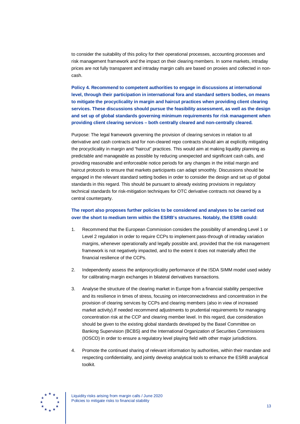to consider the suitability of this policy for their operational processes, accounting processes and risk management framework and the impact on their clearing members. In some markets, intraday prices are not fully transparent and intraday margin calls are based on proxies and collected in noncash.

**Policy 4. Recommend to competent authorities to engage in discussions at international level, through their participation in international fora and standard setters bodies, on means to mitigate the procyclicality in margin and haircut practices when providing client clearing services. These discussions should pursue the feasibility assessment, as well as the design and set up of global standards governing minimum requirements for risk management when providing client clearing services – both centrally cleared and non-centrally cleared.**

Purpose: The legal framework governing the provision of clearing services in relation to all derivative and cash contracts and for non-cleared repo contracts should aim at explicitly mitigating the procyclicality in margin and "haircut" practices. This would aim at making liquidity planning as predictable and manageable as possible by reducing unexpected and significant cash calls, and providing reasonable and enforceable notice periods for any changes in the initial margin and haircut protocols to ensure that markets participants can adapt smoothly. Discussions should be engaged in the relevant standard setting bodies in order to consider the design and set up of global standards in this regard. This should be pursuant to already existing provisions in regulatory technical standards for risk-mitigation techniques for OTC derivative contracts not cleared by a central counterparty.

#### **The report also proposes further policies to be considered and analyses to be carried out over the short to medium term within the ESRB's structures. Notably, the ESRB could:**

- 1. Recommend that the European Commission considers the possibility of amending Level 1 or Level 2 regulation in order to require CCPs to implement pass-through of intraday variation margins, whenever operationally and legally possible and, provided that the risk management framework is not negatively impacted, and to the extent it does not materially affect the financial resilience of the CCPs.
- 2. Independently assess the antiprocyclicality performance of the ISDA SIMM model used widely for calibrating margin exchanges in bilateral derivatives transactions.
- 3. Analyse the structure of the clearing market in Europe from a financial stability perspective and its resilience in times of stress, focusing on interconnectedness and concentration in the provision of clearing services by CCPs and clearing members (also in view of increased market activity).If needed recommend adjustments to prudential requirements for managing concentration risk at the CCP and clearing member level. In this regard, due consideration should be given to the existing global standards developed by the Basel Committee on Banking Supervision (BCBS) and the International Organization of Securities Commissions (IOSCO) in order to ensure a regulatory level playing field with other major jurisdictions.
- 4. Promote the continued sharing of relevant information by authorities, within their mandate and respecting confidentiality, and jointly develop analytical tools to enhance the ESRB analytical toolkit.



Liquidity risks arising from margin calls / June 2020 Policies to mitigate risks to financial stability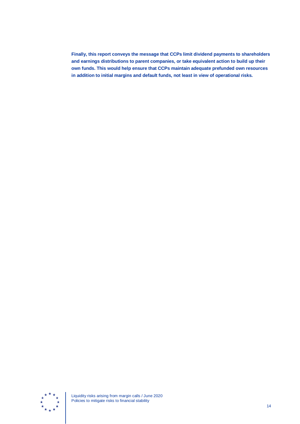**Finally, this report conveys the message that CCPs limit dividend payments to shareholders and earnings distributions to parent companies, or take equivalent action to build up their own funds. This would help ensure that CCPs maintain adequate prefunded own resources in addition to initial margins and default funds, not least in view of operational risks.**



Liquidity risks arising from margin calls / June 2020 Policies to mitigate risks to financial stability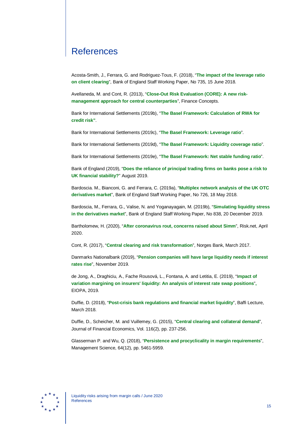# <span id="page-15-0"></span>**References**

Acosta-Smith, J., Ferrara, G. and Rodriguez-Tous, F. (2018), "**[The impact of the leverage ratio](https://www.bankofengland.co.uk/working-paper/2018/the-impact-of-the-leverage-ratio-on-client-clearing)  [on client clearing](https://www.bankofengland.co.uk/working-paper/2018/the-impact-of-the-leverage-ratio-on-client-clearing)**", Bank of England Staff Working Paper, No 735, 15 June 2018.

Avellaneda, M. and Cont, R. (2013), "**[Close-Out Risk Evaluation \(CORE\): A new risk](https://www.math.nyu.edu/faculty/avellane/LiquidityMarketRisk.pdf)[management approach for central counterparties](https://www.math.nyu.edu/faculty/avellane/LiquidityMarketRisk.pdf)**", Finance Concepts.

Bank for International Settlements (2019b), "**[The Basel Framework: Calculation of RWA for](https://www.bis.org/basel_framework/standard/CRE.htm)  [credit risk"](https://www.bis.org/basel_framework/standard/CRE.htm)**.

Bank for International Settlements (2019c), "**[The Basel Framework: Leverage ratio](https://www.bis.org/basel_framework/standard/LEV.htm)**".

Bank for International Settlements (2019d), "**[The Basel Framework: Liquidity coverage ratio](https://www.bis.org/basel_framework/standard/LCR.htm)**".

Bank for International Settlements (2019e), "**[The Basel Framework: Net stable funding ratio](https://www.bis.org/basel_framework/standard/NSF.htm)**".

Bank of England (2019), "**[Does the reliance of principal trading firms on banks pose a risk to](https://www.bankofengland.co.uk/bank-overground/2019/does-the-reliance-of-principal-trading-firms-on-banks-pose-a-risk-to-uk-financial-stability)  [UK financial stability?](https://www.bankofengland.co.uk/bank-overground/2019/does-the-reliance-of-principal-trading-firms-on-banks-pose-a-risk-to-uk-financial-stability)**" August 2019.

Bardoscia. M., Bianconi, G. and Ferrara, C. (2019a), "**[Multiplex network analysis of the UK OTC](https://www.bankofengland.co.uk/working-paper/2018/multiplex-network-analysis-of-the-uk-otc-derivatives-market)  [derivatives market](https://www.bankofengland.co.uk/working-paper/2018/multiplex-network-analysis-of-the-uk-otc-derivatives-market)**", Bank of England Staff Working Paper, No 726, 18 May 2018.

Bardoscia, M., Ferrara, G., Valise, N. and Yoganayagain, M. (2019b), "**Simulating [liquidity stress](https://www.bankofengland.co.uk/working-paper/2019/simulating-liquidity-stress-in-the-derivatives-market)  [in the derivatives market](https://www.bankofengland.co.uk/working-paper/2019/simulating-liquidity-stress-in-the-derivatives-market)**", Bank of England Staff Working Paper, No 838, 20 December 2019.

Bartholomew, H. (2020), "**[After coronavirus rout, concerns raised about Simm](https://www.risk.net/derivatives/7520976/after-coronavirus-rout-concerns-raised-about-simm)**", Risk.net, April 2020.

Cont, R. (2017), "**[Central clearing and risk transformation](https://static.norges-bank.no/contentassets/432aa1c401a243f9b08a3f3aecd4c71d/working_paper_3_17.pdf)**", Norges Bank, March 2017.

Danmarks Nationalbank (2019), "**[Pension companies will have large liquidity needs if interest](http://www.nationalbanken.dk/en/publications/Documents/2019/11/ANALYSIS_No%2023_Pension%20companies%20will%20have%20large%20liquidity%20needs%20if%20interest%20rates%20rise.pdf)  [rates rise](http://www.nationalbanken.dk/en/publications/Documents/2019/11/ANALYSIS_No%2023_Pension%20companies%20will%20have%20large%20liquidity%20needs%20if%20interest%20rates%20rise.pdf)**", November 2019.

de Jong, A., Draghiciu, A., Fache Rousová, L., Fontana, A. and Letitia, E. (2019), "I**[mpact of](https://www.eiopa.europa.eu/content/impact-variation-margining-eu-insurers-liquidity-analysis-interest-rate-swaps-positions_en)  [variation margining on insurers' liquidity: An analysis of interest rate swap positions](https://www.eiopa.europa.eu/content/impact-variation-margining-eu-insurers-liquidity-analysis-interest-rate-swaps-positions_en)**"**,** EIOPA, 2019.

Duffie, D. (2018), "**[Post-crisis bank regulations and financial market liquidity](https://www.darrellduffie.com/uploads/policy/DuffieBaffiLecture2018.pdf)**", Baffi Lecture, March 2018.

Duffie, D., Scheicher, M. and Vuillemey, G. (2015), "**[Central clearing and collateral demand](https://www.sciencedirect.com/science/article/pii/S0304405X14002761)**", Journal of Financial Economics, Vol. 116(2), pp. 237-256.

Glasserman P. and Wu, Q. (2018), "**[Persistence and procyclicality in margin requirements](https://pubsonline.informs.org/doi/10.1287/mnsc.2017.2915)**", Management Science, 64(12), pp. 5461-5959.

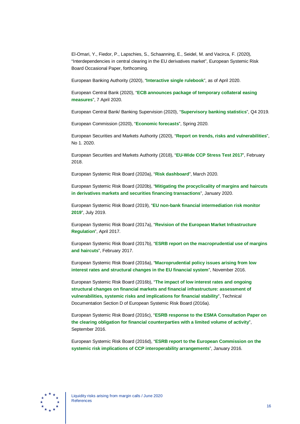El-Omari, Y., Fiedor, P., Lapschies, S., Schaanning, E., Seidel, M. and Vacirca, F. (2020), "Interdependencies in central clearing in the EU derivatives market", European Systemic Risk Board Occasional Paper, forthcoming.

European Banking Authority (2020), "**[Interactive single](https://eba.europa.eu/regulation-and-policy/single-rulebook/interactive-single-rulebook/504) rulebook**", as of April 2020.

European Central Bank (2020), "**[ECB announces package of temporary collateral easing](https://www.ecb.europa.eu/press/pr/date/2020/html/ecb.pr200407%7E2472a8ccda.en.html)  [measures](https://www.ecb.europa.eu/press/pr/date/2020/html/ecb.pr200407%7E2472a8ccda.en.html)**", 7 April 2020.

European Central Bank/ Banking Supervision (2020), "**[Supervisory banking statistics](https://www.bankingsupervision.europa.eu/ecb/pub/pdf/ssm.supervisorybankingstatistics_fourth_quarter_2019_202004_annex%7Ef57c571075.en.xlsx)**", Q4 2019.

European Commission (2020), "**[Economic forecasts](https://ec.europa.eu/info/business-economy-euro/economic-performance-and-forecasts/economic-forecasts/spring-2020-economic-forecast-deep-and-uneven-recession-uncertain-recovery_en)**", Spring 2020.

European Securities and Markets Authority (2020), "**[Report on trends, risks and vulnerabilities](https://www.esma.europa.eu/sites/default/files/library/esma_50-165-1040_trv_no.1_2020.pdf)**", No 1. 2020.

European Securities and Markets Authority (2018), "**[EU-Wide CCP Stress Test](https://www.esma.europa.eu/sites/default/files/library/esma70-151-1154_eu-wide_ccp_stress_test_2017_report.pdf) 2017**", February 2018.

European Systemic Risk Board (2020a), "**[Risk dashboard](https://www.esrb.europa.eu/pub/pdf/dashboard/esrb.risk_dashboard200409%7Ee85956ecc9.en.pdf)**", March 2020.

European Systemic Risk Board (2020b), "**[Mitigating the procyclicality of margins and haircuts](https://www.esrb.europa.eu/pub/pdf/reports/esrb.report_200109_mitigating_procyclicality_margins_haricuts%7E0f3e9f9e48.en.pdf)  [in derivatives markets and securities financing transactions](https://www.esrb.europa.eu/pub/pdf/reports/esrb.report_200109_mitigating_procyclicality_margins_haricuts%7E0f3e9f9e48.en.pdf)**", January 2020.

European Systemic Risk Board (2019), "**[EU non-bank financial intermediation risk monitor](https://www.esrb.europa.eu/pub/pdf/reports/esrb.report190717_NBFImonitor2019%7Eba7c155135.en.pdf)  [2019](https://www.esrb.europa.eu/pub/pdf/reports/esrb.report190717_NBFImonitor2019%7Eba7c155135.en.pdf)**", July 2019.

European Systemic Risk Board (2017a), "**[Revision of the European Market Infrastructure](https://www.esrb.europa.eu/pub/pdf/other/20170421_esrb_emir.en.pdf)  [Regulation](https://www.esrb.europa.eu/pub/pdf/other/20170421_esrb_emir.en.pdf)**", April 2017.

European Systemic Risk Board (2017b), "**[ESRB report on the macroprudential use of margins](https://www.esrb.europa.eu/pub/pdf/reports/170216_macroprudential_use_of_margins_and_haircuts.en.pdf)  [and haircuts](https://www.esrb.europa.eu/pub/pdf/reports/170216_macroprudential_use_of_margins_and_haircuts.en.pdf)**", February 2017.

European Systemic Risk Board (2016a), "**[Macroprudential policy issues arising from low](https://www.esrb.europa.eu/pub/pdf/reports/161128_low_interest_rate_report.en.pdf)  [interest rates and structural changes in the EU financial system](https://www.esrb.europa.eu/pub/pdf/reports/161128_low_interest_rate_report.en.pdf)**", November 2016.

European Systemic Risk Board (2016b), "**[The impact of low interest rates and ongoing](https://www.esrb.europa.eu/pub/pdf/reports/161128_low_interest_rate_report_annex_d.en.pdf)  [structural changes on financial markets and financial infrastructure: assessment of](https://www.esrb.europa.eu/pub/pdf/reports/161128_low_interest_rate_report_annex_d.en.pdf)  [vulnerabilities, systemic risks and implications for financial stability](https://www.esrb.europa.eu/pub/pdf/reports/161128_low_interest_rate_report_annex_d.en.pdf)**", Technical Documentation Section D of European Systemic Risk Board (2016a).

European Systemic Risk Board (2016c), "**[ESRB response to the ESMA Consultation Paper on](https://www.esrb.europa.eu/pub/pdf/other/20160905_ESRB_response_ESMA.en.pdf)  [the clearing obligation for financial counterparties with a limited volume of activity](https://www.esrb.europa.eu/pub/pdf/other/20160905_ESRB_response_ESMA.en.pdf)**", September 2016.

European Systemic Risk Board (2016d), "**[ESRB report to the European Commission on the](https://www.esrb.europa.eu/pub/pdf/other/2016-01-14_Interoperability_report.pdf)  [systemic risk implications of CCP interoperability arrangements](https://www.esrb.europa.eu/pub/pdf/other/2016-01-14_Interoperability_report.pdf)**", January 2016.

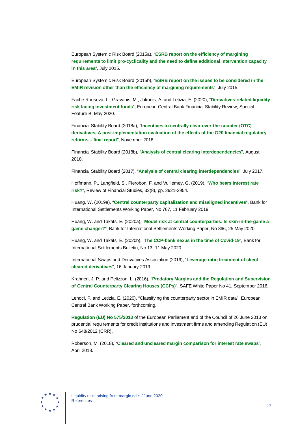European Systemic Risk Board (2015a), "**[ESRB report on the efficiency of margining](https://www.esrb.europa.eu/pub/pdf/other/150729_report_pro-cyclicality.en.pdf)  [requirements to limit pro-cyclicality and the need to define additional intervention capacity](https://www.esrb.europa.eu/pub/pdf/other/150729_report_pro-cyclicality.en.pdf)  [in this area](https://www.esrb.europa.eu/pub/pdf/other/150729_report_pro-cyclicality.en.pdf)**", July 2015.

European Systemic Risk Board (2015b), "**[ESRB report on the issues to be considered in the](https://www.esrb.europa.eu/pub/pdf/other/150729_report_other_issues.en.pdf)  [EMIR revision other than the efficiency of margining](https://www.esrb.europa.eu/pub/pdf/other/150729_report_other_issues.en.pdf) requirements**", July 2015.

Fache Rousová, L., Gravanis, M., Jukonis, A. and Letizia, E. (2020), "**[Derivatives-related liquidity](https://www.ecb.europa.eu/pub/financial-stability/fsr/html/index.en.html)  [risk facing investment funds](https://www.ecb.europa.eu/pub/financial-stability/fsr/html/index.en.html)**", European Central Bank Financial Stability Review, Special Feature B, May 2020.

Financial Stability Board (2018a), "**[Incentives to centrally clear over-the-counter \(OTC\)](https://www.fsb.org/wp-content/uploads/R191118-1-1.pdf)  [derivatives, A post-implementation evaluation of the effects of the G20 financial regulatory](https://www.fsb.org/wp-content/uploads/R191118-1-1.pdf)  reforms – [final report](https://www.fsb.org/wp-content/uploads/R191118-1-1.pdf)**", November 2018.

Financial Stability Board (2018b), "**[Analysis of central clearing interdependencies](https://www.fsb.org/wp-content/uploads/P090818.pdf)**", August 2018.

Financial Stability Board (2017), "**[Analysis of central clearing interdependencies](https://www.fsb.org/wp-content/uploads/P050717-2.pdf)**", July 2017.

Hoffmann, P., Langfield, S., Pierobon, F. and Vuillemey, G. (2019), "**[Who bears interest rate](https://academic.oup.com/rfs/article/32/8/2921/5215152)  [risk?](https://academic.oup.com/rfs/article/32/8/2921/5215152)**", Review of Financial Studies, 32(8), pp. 2921-2954.

Huang, W. (2019a), "**[Central counterparty capitalization and misaligned incentives](https://www.bis.org/publ/work767.htm)**", Bank for International Settlements Working Paper, No 767, 11 February 2019.

Huang, W. and Takáts, E. (2020a), "**[Model risk at central counterparties: Is skin-in-the-game a](https://www.bis.org/publ/work866.htm)  [game changer?](https://www.bis.org/publ/work866.htm)**", Bank for International Settlements Working Paper, No 866, 25 May 2020.

Huang, W. and Takáts, E. (2020b), "**[The CCP-bank nexus in the time of](https://www.bis.org/publ/bisbull13.htm) Covid-19**", Bank for International Settlements Bulletin, No 13, 11 May 2020.

International Swaps and Derivatives Association (2019), "**[Leverage ratio treatment of client](https://www.isda.org/a/nDiME/Leverage-ratio-treatment-of-client-cleared-derivatives.pdf)  [cleared derivatives](https://www.isda.org/a/nDiME/Leverage-ratio-treatment-of-client-cleared-derivatives.pdf)**", 16 January 2019.

Krahnen, J. P. and Pelizzon, L. (2016), "**[Predatory Margins and the Regulation and Supervision](https://safe-frankfurt.de/fileadmin/user_upload/editor_common/Policy_Center/Krahnen_Pelizzon_CCP.pdf)  [of Central Counterparty Clearing Houses \(CCPs\)](https://safe-frankfurt.de/fileadmin/user_upload/editor_common/Policy_Center/Krahnen_Pelizzon_CCP.pdf)**", SAFE White Paper No 41, September 2016.

Lenoci, F. and Letizia, E. (2020), "Classifying the counterparty sector in EMIR data", European Central Bank Working Paper, forthcoming.

**[Regulation \(EU\) No](https://eur-lex.europa.eu/legal-content/EN/TXT/?uri=CELEX%3A32013R0575) 575/2013** of the European Parliament and of the Council of 26 June 2013 on prudential requirements for credit institutions and investment firms and amending Regulation (EU) No 648/2012 (CRR).

Roberson, M. (2018), "**[Cleared and uncleared margin comparison for interest rate swaps](https://www.cftc.gov/sites/default/files/idc/groups/public/%40economicanalysis/documents/file/dcr_cleared_uncleared_margin.pdf)**", April 2018.

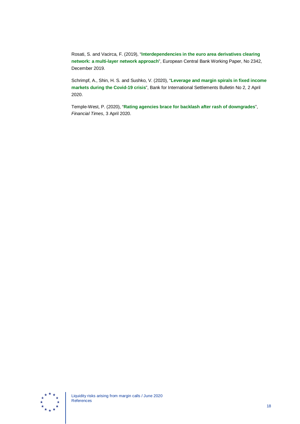Rosati, S. and Vacirca, F. (2019), "**[Interdependencies in the euro area derivatives clearing](https://www.ecb.europa.eu/pub/pdf/scpwps/ecb.wp2342%7Eab1a8078c3.en.pdf)  [network: a multi-layer network approach](https://www.ecb.europa.eu/pub/pdf/scpwps/ecb.wp2342%7Eab1a8078c3.en.pdf)**", European Central Bank Working Paper, No 2342, December 2019.

Schrimpf, A., Shin, H. S. and Sushko, V. (2020), "**[Leverage and margin spirals in fixed income](https://www.bis.org/publ/bisbull02.htm)  [markets during the Covid-19 crisis](https://www.bis.org/publ/bisbull02.htm)**", Bank for International Settlements Bulletin No 2, 2 April 2020.

Temple-West, P. (2020), "**[Rating agencies brace for backlash after rash of downgrades](https://www.ft.com/content/253210d5-4a2d-439f-a4a6-204a7f66d445)**", *Financial Times*, 3 April 2020.

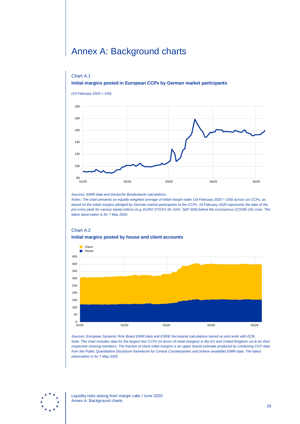# <span id="page-19-0"></span>Annex A: Background charts

#### Chart A.1 **Initial margins posted in European CCPs by German market participants**



*Sources: EMIR data and Deutsche Bundesbank calculations.*

*Notes: The chart presents an equally weighted average of initial margin index (19 February 2020 = 100) across six CCPs, as based on the initial margins pledged by German market participants to the CCPs. 19 February 2020 represents the date of the pre-crisis peak for various equity indices (e.g. EURO STOXX 50, DAX, S&P 500) before the coronavirus (COVID-19) crisis. The latest observation is for 7 May 2020.*

## Chart A.2 **Initial margins posted by house and client accounts**



*Sources: European Systemic Risk Board EMIR data and ESRB Secretariat calculations based on joint work with ECB. Note: The chart includes data for the largest four CCPs (in terms of initial margins) in the EU and United Kingdom vis-à-vis their respective clearing members. The fraction of client initial margins is an upper bound estimate produced by combining CCP data from the Public Quantitative Disclosure framework for Central Counterparties and (where available) EMIR data. The latest observation is for 7 May 2020.*

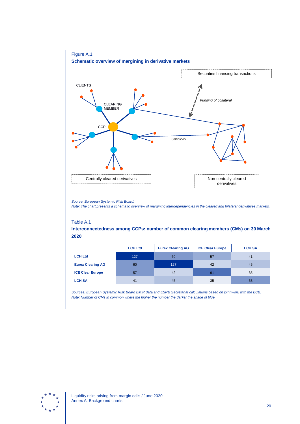

*Source: European Systemic Risk Board.*

*Note: The chart presents a schematic overview of margining interdependencies in the cleared and bilateral derivatives markets.*

#### Table A.1

**Interconnectedness among CCPs: number of common clearing members (CMs) on 30 March 2020**

|                          | <b>LCH Ltd</b> | <b>Eurex Clearing AG</b> | <b>ICE Clear Europe</b> | <b>LCH SA</b> |
|--------------------------|----------------|--------------------------|-------------------------|---------------|
| <b>LCH Ltd</b>           | 127            | 60                       | 57                      | 41            |
| <b>Eurex Clearing AG</b> | 60             | 127                      | 42                      | 45            |
| <b>ICE Clear Europe</b>  | 57             | 42                       | 91                      | 35            |
| <b>LCH SA</b>            | 41             | 45                       | 35                      | 53            |

*Sources: European Systemic Risk Board EMIR data and ESRB Secretariat calculations based on joint work with the ECB. Note: Number of CMs in common where the higher the number the darker the shade of blue.*

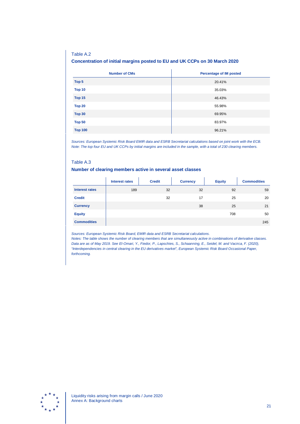### Table A.2 **Concentration of initial margins posted to EU and UK CCPs on 30 March 2020**

| <b>Number of CMs</b> | <b>Percentage of IM posted</b> |
|----------------------|--------------------------------|
| Top 5                | 20.41%                         |
| Top 10               | 35.03%                         |
| Top 15               | 46.43%                         |
| Top 20               | 55.98%                         |
| <b>Top 30</b>        | 69.95%                         |
| <b>Top 50</b>        | 83.97%                         |
| <b>Top 100</b>       | 96.21%                         |

*Sources: European Systemic Risk Board EMIR data and ESRB Secretariat calculations based on joint work with the ECB. Note: The top four EU and UK CCPs by initial margins are included in the sample, with a total of 230 clearing members.*

#### Table A.3

#### **Number of clearing members active in several asset classes**

|                       | <b>Interest rates</b> | <b>Credit</b> | <b>Currency</b> | <b>Equity</b> | <b>Commodities</b> |
|-----------------------|-----------------------|---------------|-----------------|---------------|--------------------|
| <b>Interest rates</b> | 189                   | 32            | 32              | 92            | 59                 |
| <b>Credit</b>         |                       | 32            | 17              | 25            | 20                 |
| <b>Currency</b>       |                       |               | 38              | 25            | 21                 |
| <b>Equity</b>         |                       |               |                 | 708           | 50                 |
| <b>Commodities</b>    |                       |               |                 |               | 245                |

*Sources: European Systemic Risk Board, EMIR data and ESRB Secretariat calculations.*

*Notes: The table shows the number of clearing members that are simultaneously active in combinations of derivative classes. Data are as of May 2019. See El-Omari, Y., Fiedor, P., Lapschies, S., Schaanning, E., Seidel, M. and Vacirca, F. (2020), "Interdependencies in central clearing in the EU derivatives market", European Systemic Risk Board Occasional Paper, forthcoming.*

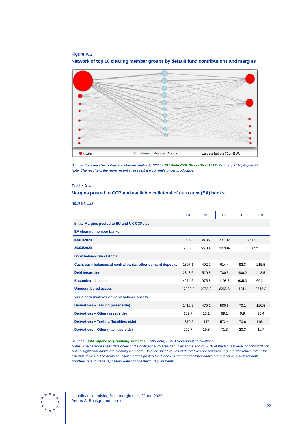

*Source: European Securities and Markets Authority (2018), [EU-Wide CCP Stress Test](https://www.esma.europa.eu/sites/default/files/library/esma70-151-1154_eu-wide_ccp_stress_test_2017_report.pdf) 2017, February 2018, Figure 22. Note: The results of the more recent stress test are currently under production.*

### Table A.4 **Margins posted to CCP and available collateral of euro area (EA) banks**

*(EUR billions)*

|                                                             | EA      | DE     | <b>FR</b> | IΤ    | <b>ES</b> |
|-------------------------------------------------------------|---------|--------|-----------|-------|-----------|
| Initial Margins posted to EU and UK CCPs by                 |         |        |           |       |           |
| <b>EA clearing member banks</b>                             |         |        |           |       |           |
| 03/01/2020                                                  | 95.58   | 38.363 | 33.792    |       | $8.613*$  |
| 26/03/2020                                                  | 125.058 | 55.039 | 38.934    |       | 13.389*   |
| <b>Bank balance sheet items</b>                             |         |        |           |       |           |
| Cash, cash balances at central banks, other demand deposits | 1807.1  | 402.2  | 614.4     | 92.3  | 215.5     |
| <b>Debt securities</b>                                      | 2848.6  | 510.8  | 780.5     | 480.2 | 448.5     |
| <b>Encumbered assets</b>                                    | 4274.6  | 975.8  | 1198.8    | 635.3 | 694.1     |
| <b>Unencumbered assets</b>                                  | 17908.2 | 2755.9 | 6265.6    | 1811  | 2646.2    |
| Value of derivatives on bank balance sheets                 |         |        |           |       |           |
| Derivatives - Trading (asset side)                          | 1412.6  | 470.1  | 580.6     | 70.1  | 120.5     |
| Derivatives - Other (asset side)                            | 139.7   | 13.1   | 69.1      | 9.9   | 15.4      |
| Derivatives - Trading (liabilities side)                    | 1379.5  | 447    | 572.4     | 70.6  | 116.1     |
| Derivatives - Other (liabilities side)                      | 202.7   | 19.8   | 71.3      | 20.3  | 11.7      |

*Sources: [SSM supervisory banking statistics](https://www.bankingsupervision.europa.eu/ecb/pub/pdf/ssm.supervisorybankingstatistics_fourth_quarter_2019_202004_annex%7Ef57c571075.en.xlsx), EMIR data, ESRB Secretariat calculations.*

*Notes: The balance sheet data cover 113 significant euro area banks as at the end of 2019 at the highest level of consolidation. Not all significant banks are clearing members. Balance sheet values of derivatives are reported, e.g. market values rather than notional values. \* The items on initial margins posted by IT and ES clearing member banks are shown as a sum for both countries due to trade repository data confidentiality requirements.*

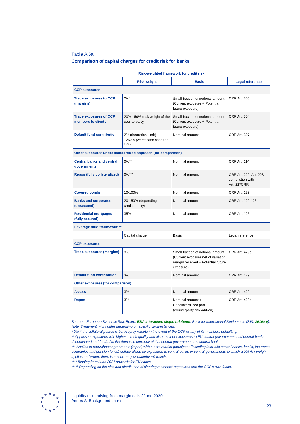#### Table A.5a

#### **Comparison of capital charges for credit risk for banks**

| Risk-weighted framework for credit risk             |                                                                  |                                                                                                                            |                                                                     |  |  |  |
|-----------------------------------------------------|------------------------------------------------------------------|----------------------------------------------------------------------------------------------------------------------------|---------------------------------------------------------------------|--|--|--|
|                                                     | <b>Risk weight</b>                                               | <b>Basis</b>                                                                                                               | <b>Legal reference</b>                                              |  |  |  |
| <b>CCP exposures</b>                                |                                                                  |                                                                                                                            |                                                                     |  |  |  |
| <b>Trade exposures to CCP</b><br>(margins)          | $2\%$ *                                                          | Small fraction of notional amount<br>(Current exposure + Potential<br>future exposure)                                     | <b>CRR Art. 306</b>                                                 |  |  |  |
| <b>Trade exposures of CCP</b><br>members to clients | 20%-150% (risk weight of the<br>counterparty)                    | Small fraction of notional amount<br>(Current exposure + Potential<br>future exposure)                                     | <b>CRR Art. 304</b>                                                 |  |  |  |
| <b>Default fund contribution</b>                    | 2% (theoretical limit) -<br>1250% (worst case scenario)<br>***** | Nominal amount                                                                                                             | <b>CRR Art. 307</b>                                                 |  |  |  |
|                                                     | Other exposures under standardized approach (for comparison)     |                                                                                                                            |                                                                     |  |  |  |
| <b>Central banks and central</b><br>governments     | $0\%**$                                                          | Nominal amount                                                                                                             | <b>CRR Art. 114</b>                                                 |  |  |  |
| <b>Repos (fully collateralized)</b>                 | $0\%***$                                                         | Nominal amount                                                                                                             | CRR Art. 222, Art. 223 in<br>conjunction with<br><b>Art. 227CRR</b> |  |  |  |
| <b>Covered bonds</b>                                | 10-100%                                                          | Nominal amount                                                                                                             | <b>CRR Art. 129</b>                                                 |  |  |  |
| <b>Banks and corporates</b><br>(unsecured)          | 20-150% (depending on<br>credit quality)                         | Nominal amount                                                                                                             | CRR Art. 120-123                                                    |  |  |  |
| <b>Residential mortgages</b><br>(fully secured)     | 35%                                                              | Nominal amount                                                                                                             | <b>CRR Art. 125</b>                                                 |  |  |  |
| Leverage ratio framework****                        |                                                                  |                                                                                                                            |                                                                     |  |  |  |
|                                                     | Capital charge                                                   | Basis                                                                                                                      | Legal reference                                                     |  |  |  |
| <b>CCP exposures</b>                                |                                                                  |                                                                                                                            |                                                                     |  |  |  |
| <b>Trade exposures (margins)</b>                    | 3%                                                               | Small fraction of notional amount<br>(Current exposure net of variation<br>margin received + Potential future<br>exposure) | CRR Art. 429a                                                       |  |  |  |
| <b>Default fund contribution</b>                    | 3%                                                               | Nominal amount                                                                                                             | <b>CRR Art. 429</b>                                                 |  |  |  |
| Other exposures (for comparison)                    |                                                                  |                                                                                                                            |                                                                     |  |  |  |
| <b>Assets</b>                                       | 3%                                                               | Nominal amount                                                                                                             | <b>CRR Art. 429</b>                                                 |  |  |  |
| <b>Repos</b>                                        | 3%                                                               | Nominal amount +<br>Uncollateralized part<br>(counterparty risk add-on)                                                    | <b>CRR Art. 429b</b>                                                |  |  |  |

*Sources: European Systemic Risk Board, [EBA Interactive single rulebook](https://eba.europa.eu/regulation-and-policy/single-rulebook/interactive-single-rulebook/504), Bank for International Settlements (BIS; [2019a](https://www.bis.org/basel_framework/standard/CRE.htm)-e). Note: Treatment might differ depending on specific circumstances.*

*\* 0% if the collateral posted is bankruptcy remote in the event of the CCP or any of its members defaulting.*

*\*\* Applies to exposures with highest credit quality and also to other exposures to EU central governments and central banks denominated and funded in the domestic currency of that central government and central bank.*

*\*\*\* Applies to repurchase agreements (repos) with a core market participant (including inter alia central banks, banks, insurance companies and pension funds) collateralised by exposures to central banks or central governments to which a 0% risk weight applies and where there is no currency or maturity mismatch.*

*\*\*\*\* Binding from June 2021 onwards for EU banks.*

*\*\*\*\*\* Depending on the size and distribution of clearing members' exposures and the CCP's own funds.*



Liquidity risks arising from margin calls / June 2020 Annex A: Background charts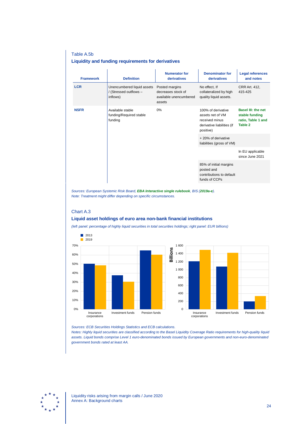#### Table A.5b

#### **Liquidity and funding requirements for derivatives**

| <b>Framework</b> | <b>Definition</b>                                                | <b>Numerator for</b><br>derivatives                                      | <b>Denominator for</b><br>derivatives                                                               | <b>Legal references</b><br>and notes                                         |
|------------------|------------------------------------------------------------------|--------------------------------------------------------------------------|-----------------------------------------------------------------------------------------------------|------------------------------------------------------------------------------|
| <b>LCR</b>       | Unencumbered liquid assets<br>/ (Stressed outflows -<br>inflows) | Posted margins<br>decreases stock of<br>available unencumbered<br>assets | No effect, If<br>collateralized by high<br>quality liquid assets.                                   | <b>CRR Art. 412,</b><br>415-425                                              |
| <b>NSFR</b>      | Available stable<br>0%<br>funding/Required stable<br>funding     |                                                                          | 100% of derivative<br>assets net of VM<br>received minus<br>derivative liabilities (if<br>positive) | <b>Basel III: the net</b><br>stable funding<br>ratio, Table 1 and<br>Table 2 |
|                  |                                                                  |                                                                          | + 20% of derivative<br>liabilities (gross of VM)                                                    |                                                                              |
|                  |                                                                  |                                                                          |                                                                                                     | In EU applicable<br>since June 2021                                          |
|                  |                                                                  |                                                                          | 85% of initial margins<br>posted and<br>contributions to default<br>funds of CCPs                   |                                                                              |

*Sources: European Systemic Risk Board, [EBA Interactive single rulebook](https://eba.europa.eu/regulation-and-policy/single-rulebook/interactive-single-rulebook/504), BIS ([2019a-e](https://www.bis.org/basel_framework/standard/LCR.htm)). Note: Treatment might differ depending on specific circumstances.*

## Chart A.3

#### **Liquid asset holdings of euro area non-bank financial institutions**

*(left panel: percentage of highly liquid securities in total securities holdings; right panel: EUR billions)*





*Sources: ECB Securities Holdings Statistics and ECB calculations.*

*Notes: Highly liquid securities are classified according to the Basel Liquidity Coverage Ratio requirements for high-quality liquid assets. Liquid bonds comprise Level 1 euro-denominated bonds issued by European governments and non-euro-denominated government bonds rated at least AA.*

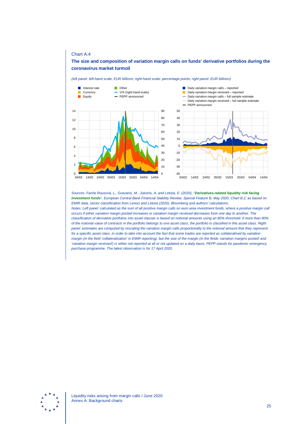#### Chart A.4

#### **The size and composition of variation margin calls on funds' derivative portfolios during the coronavirus market turmoil**

*(left panel: left-hand scale: EUR billions; right-hand scale: percentage points; right panel: EUR billions)*





*Sources: Fache Rousová, L., Gravanis, M., Jukonis, A. and Letizia, E. (2020), "[Derivatives-related liquidity risk facing](https://www.ecb.europa.eu/pub/financial-stability/fsr/html/index.en.html)  [investment funds](https://www.ecb.europa.eu/pub/financial-stability/fsr/html/index.en.html)", European Central Bank Financial Stability Review, Special Feature B, May 2020, Chart B.2, as based on EMIR data, sector classification from Lenoci and Letizia (2020), Bloomberg and authors' calculations. Notes: Left panel: calculated as the sum of all positive margin calls on euro area investment funds, where a positive margin call occurs if either variation margin posted increases or variation margin received decreases from one day to another. The classification of derivative portfolios into asset classes is based on notional amounts using an 80% threshold: if more than 80% of the notional value of contracts in the portfolio belongs to one asset class, the portfolio is classified in this asset class. Right panel: estimates are computed by rescaling the variation margin calls proportionally to the notional amount that they represent for a specific asset class, in order to take into account the fact that some trades are reported as collateralised by variation margin (in the field 'collateralisation' in EMIR reporting), but the size of the margin (in the fields 'variation margins posted' and 'variation margin received') is either not reported at all or not updated on a daily basis. PEPP stands for pandemic emergency purchase programme. The latest observation is for 17 April 2020.*

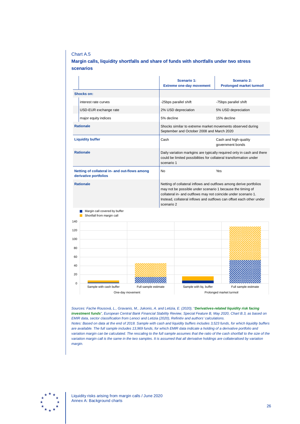#### Chart A.5

#### **Margin calls, liquidity shortfalls and share of funds with shortfalls under two stress scenarios**

|                         |                                                                        |                      | Scenario 1:<br><b>Extreme one-day movement</b>                                                                                                                                                                   | <b>Scenario 2:</b><br><b>Prolonged market turmoil</b>                |  |  |
|-------------------------|------------------------------------------------------------------------|----------------------|------------------------------------------------------------------------------------------------------------------------------------------------------------------------------------------------------------------|----------------------------------------------------------------------|--|--|
|                         | <b>Shocks on:</b>                                                      |                      |                                                                                                                                                                                                                  |                                                                      |  |  |
|                         | interest rate curves                                                   |                      | -25bps parallel shift                                                                                                                                                                                            | -75bps parallel shift                                                |  |  |
|                         | USD-EUR exchange rate                                                  |                      | 2% USD depreciation                                                                                                                                                                                              | 5% USD depreciation                                                  |  |  |
|                         | major equity indices                                                   |                      | 5% decline                                                                                                                                                                                                       | 15% decline                                                          |  |  |
| <b>Rationale</b>        |                                                                        |                      | Shocks similar to extreme market movements observed during<br>September and October 2008 and March 2020                                                                                                          |                                                                      |  |  |
| <b>Liquidity buffer</b> |                                                                        |                      | Cash                                                                                                                                                                                                             | Cash and high-quality<br>government bonds                            |  |  |
| <b>Rationale</b>        |                                                                        |                      | Daily variation markgins are typically required only in cash and there<br>could be limited possibilities for collateral transformation under<br>scenario 1                                                       |                                                                      |  |  |
|                         | Netting of collateral in- and out-flows among<br>derivative portfolios |                      | <b>No</b>                                                                                                                                                                                                        | Yes                                                                  |  |  |
| <b>Rationale</b>        |                                                                        |                      | Netting of collateral inflows and outflows among derive portfolios<br>may not be possible under scenario 1 because the timing of<br>collateral in- and outflows may not coincide under scenario 1.<br>scenario 2 | Instead, collateral inflows and outflows can offset each other under |  |  |
| l a<br>П<br>140         | Margin call covered by buffer<br>Shortfall from margin call            |                      |                                                                                                                                                                                                                  |                                                                      |  |  |
| 120                     |                                                                        |                      |                                                                                                                                                                                                                  |                                                                      |  |  |
| 100                     |                                                                        |                      |                                                                                                                                                                                                                  |                                                                      |  |  |
| 80                      |                                                                        |                      |                                                                                                                                                                                                                  |                                                                      |  |  |
| 60                      |                                                                        |                      |                                                                                                                                                                                                                  |                                                                      |  |  |
| 40                      |                                                                        |                      |                                                                                                                                                                                                                  |                                                                      |  |  |
| 20                      |                                                                        |                      |                                                                                                                                                                                                                  |                                                                      |  |  |
| $\mathbf 0$             |                                                                        |                      |                                                                                                                                                                                                                  |                                                                      |  |  |
|                         | Sample with cash buffer<br>One-day movement                            | Full sample estimate | Sample with liq. buffer                                                                                                                                                                                          | Full sample estimate<br>Prolonged market turmoil                     |  |  |

*Sources: Fache Rousová, L., Gravanis, M., Jukonis, A. and Letizia, E. (2020), "[Derivatives-related liquidity risk facing](https://www.ecb.europa.eu/pub/financial-stability/fsr/html/index.en.html)  [investment funds](https://www.ecb.europa.eu/pub/financial-stability/fsr/html/index.en.html)", European Central Bank Financial Stability Review, Special Feature B, May 2020, Chart B.3, as based on EMIR data, sector classification from Lenoci and Letizia (2020), Refinitiv and authors' calculations. Notes: Based on data at the end of 2018. Sample with cash and liquidity buffers includes 3,523 funds, for which liquidity buffers are available. The full sample includes 13,969 funds, for which EMIR data indicate a holding of a derivative portfolio and variation margin can be calculated. The rescaling to the full sample assumes that the ratio of the cash shortfall to the size of the variation margin call is the same in the two samples. It is assumed that all derivative holdings are collateralised by variation margin.*

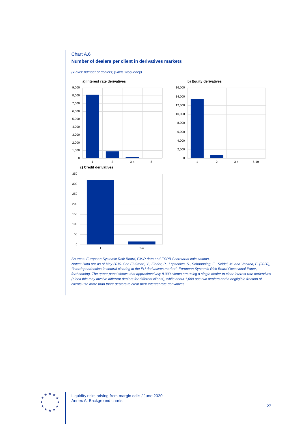### Chart A.6 **Number of dealers per client in derivatives markets**

*(x-axis: number of dealers; y-axis: frequency)*





*Sources: European Systemic Risk Board, EMIR data and ESRB Secretariat calculations.*

*Notes: Data are as of May 2019. See El-Omari, Y., Fiedor, P., Lapschies, S., Schaanning, E., Seidel, M. and Vacirca, F. (2020), "Interdependencies in central clearing in the EU derivatives market", European Systemic Risk Board Occasional Paper, forthcoming. The upper panel shows that approximatively 8,000 clients are using a single dealer to clear interest rate derivatives (albeit this may involve different dealers for different clients), while about 1,000 use two dealers and a negligible fraction of clients use more than three dealers to clear their interest rate derivatives.*

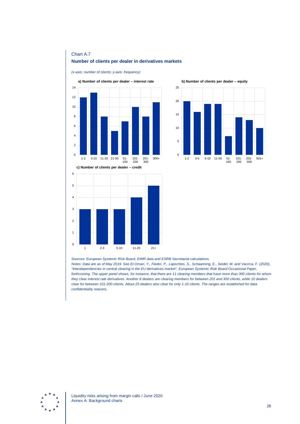### Chart A.7 **Number of clients per dealer in derivatives markets**

*(x-axis: number of clients; y-axis: frequency)*



**b) Number of clients per dealer – equity**



*Sources: European Systemic Risk Board, EMIR data and ESRB Secretariat calculations.*

*Notes: Data are as of May 2019. See El-Omari, Y., Fiedor, P., Lapschies, S., Schaanning, E., Seidel, M. and Vacirca, F. (2020), "Interdependencies in central clearing in the EU derivatives market", European Systemic Risk Board Occasional Paper, forthcoming. The upper panel shows, for instance, that there are 11 clearing members that have more than 300 clients for whom they clear interest rate derivatives. Another 8 dealers are clearing members for between 201 and 300 clients, while 10 dealers clear for between 101-200 clients. About 25 dealers also clear for only 1-10 clients. The ranges are established for data confidentiality reasons.*

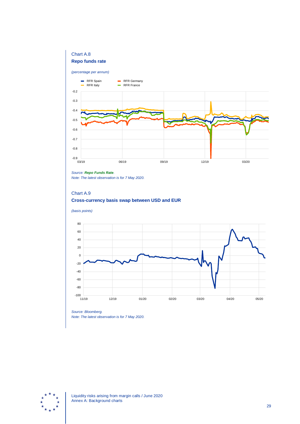### Chart A.8

#### **Repo funds rate**

#### *(percentage per annum)*



#### *Source: [Repo Funds Rate](http://www.repofundsrate.com/).*

*Note: The latest observation is for 7 May 2020.*

### Chart A.9 **Cross-currency basis swap between USD and EUR**





*Source: Bloomberg. Note: The latest observation is for 7 May 2020.*

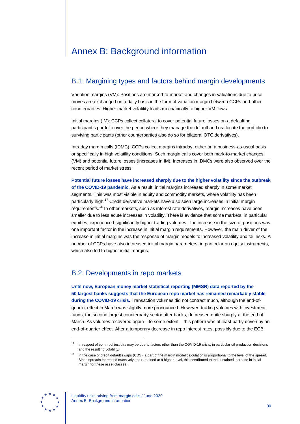# <span id="page-30-0"></span>Annex B: Background information

## B.1: Margining types and factors behind margin developments

Variation margins (VM): Positions are marked-to-market and changes in valuations due to price moves are exchanged on a daily basis in the form of variation margin between CCPs and other counterparties. Higher market volatility leads mechanically to higher VM flows.

Initial margins (IM): CCPs collect collateral to cover potential future losses on a defaulting participant's portfolio over the period where they manage the default and reallocate the portfolio to surviving participants (other counterparties also do so for bilateral OTC derivatives).

Intraday margin calls (IDMC): CCPs collect margins intraday, either on a business-as-usual basis or specifically in high volatility conditions. Such margin calls cover both mark-to-market changes (VM) and potential future losses (increases in IM). Increases in IDMCs were also observed over the recent period of market stress.

**Potential future losses have increased sharply due to the higher volatility since the outbreak of the COVID-19 pandemic.** As a result, initial margins increased sharply in some market segments. This was most visible in equity and commodity markets, where volatility has been particularly high.<sup>[17](#page-30-1)</sup> Credit derivative markets have also seen large increases in initial margin requirements.<sup>[18](#page-30-2)</sup> In other markets, such as interest rate derivatives, margin increases have been smaller due to less acute increases in volatility. There is evidence that some markets, in particular equities, experienced significantly higher trading volumes. The increase in the size of positions was one important factor in the increase in initial margin requirements. However, the main driver of the increase in initial margins was the response of margin models to increased volatility and tail risks. A number of CCPs have also increased initial margin parameters, in particular on equity instruments, which also led to higher initial margins.

### B.2: Developments in repo markets

**Until now, European money market statistical reporting (MMSR) data reported by the 50 largest banks suggests that the European repo market has remained remarkably stable during the COVID-19 crisis.** Transaction volumes did not contract much, although the end-ofquarter effect in March was slightly more pronounced. However, trading volumes with investment funds, the second largest counterparty sector after banks, decreased quite sharply at the end of March. As volumes recovered again – to some extent – this pattern was at least partly driven by an end-of-quarter effect. After a temporary decrease in repo interest rates, possibly due to the ECB

<span id="page-30-2"></span><span id="page-30-1"></span>

<sup>&</sup>lt;sup>17</sup> In respect of commodities, this may be due to factors other than the COVID-19 crisis, in particular oil production decisions and the resulting volatility.

In the case of credit default swaps (CDS), a part of the margin model calculation is proportional to the level of the spread. Since spreads increased massively and remained at a higher level, this contributed to the sustained increase in initial margin for these asset classes.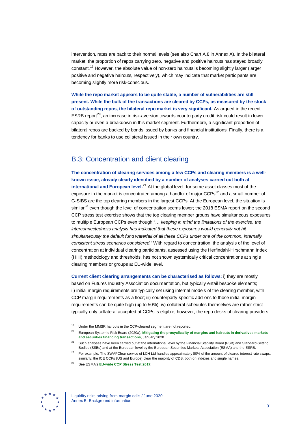intervention, rates are back to their normal levels (see also Chart A.8 in Annex A). In the bilateral market, the proportion of repos carrying zero, negative and positive haircuts has stayed broadly constant.<sup>[19](#page-31-0)</sup> However, the absolute value of non-zero haircuts is becoming slightly larger (larger positive and negative haircuts, respectively), which may indicate that market participants are becoming slightly more risk-conscious.

**While the repo market appears to be quite stable, a number of vulnerabilities are still present. While the bulk of the transactions are cleared by CCPs, as measured by the stock of outstanding repos, the bilateral repo market is very significant.** As argued in the recent ESRB report<sup>20</sup>, an increase in risk-aversion towards counterparty credit risk could result in lower capacity or even a breakdown in this market segment. Furthermore, a significant proportion of bilateral repos are backed by bonds issued by banks and financial institutions. Finally, there is a tendency for banks to use collateral issued in their own country.

## B.3: Concentration and client clearing

**The concentration of clearing services among a few CCPs and clearing members is a wellknown issue, already clearly identified by a number of analyses carried out both at international and European level.**<sup>[21](#page-31-2)</sup> At the global level, for some asset classes most of the exposure in the market is concentrated among a handful of major  $CCPs<sup>22</sup>$  $CCPs<sup>22</sup>$  $CCPs<sup>22</sup>$  and a small number of G-SIBS are the top clearing members in the largest CCPs. At the European level, the situation is similar<sup>[23](#page-31-4)</sup> even though the level of concentration seems lower; the 2018 ESMA report on the second CCP stress test exercise shows that the top clearing member groups have simultaneous exposures to multiple European CCPs even though "… *keeping in mind the limitations of the exercise, the*  interconnectedness analysis has indicated that these exposures would generally not hit *simultaneously the default fund waterfall of all these CCPs under one of the common, internally consistent stress scenarios considered*." With regard to concentration, the analysis of the level of concentration at individual clearing participants, assessed using the Herfindahl-Hirschmann Index (HHI) methodology and thresholds, has not shown systemically critical concentrations at single clearing members or groups at EU-wide level.

**Current client clearing arrangements can be characterised as follows:** i) they are mostly based on Futures Industry Association documentation, but typically entail bespoke elements; ii) initial margin requirements are typically set using internal models of the clearing member, with CCP margin requirements as a floor; iii) counterparty-specific add-ons to those initial margin requirements can be quite high (up to 50%); iv) collateral schedules themselves are rather strict – typically only collateral accepted at CCPs is eligible, however, the repo desks of clearing providers

<span id="page-31-4"></span><span id="page-31-3"></span><span id="page-31-2"></span>

Under the MMSR haircuts in the CCP-cleared segment are not reported.

<span id="page-31-1"></span><span id="page-31-0"></span><sup>20</sup> European Systemic Risk Board (2020a), **[Mitigating the procyclicality of margins and haircuts in derivatives markets](https://www.esrb.europa.eu/pub/pdf/reports/esrb.report_200109_mitigating_procyclicality_margins_haricuts%7E0f3e9f9e48.en.pdf)  [and securities financing transactions](https://www.esrb.europa.eu/pub/pdf/reports/esrb.report_200109_mitigating_procyclicality_margins_haricuts%7E0f3e9f9e48.en.pdf)**, January 2020.

<sup>21</sup> Such analyses have been carried out at the international level by the Financial Stability Board (FSB) and Standard-Setting Bodies (SSBs) and at the European level by the European Securities Markets Association (ESMA) and the ESRB.

For example, The SWAPClear service of LCH Ltd handles approximately 80% of the amount of cleared interest rate swaps; similarly, the ICE CCPs (US and Europe) clear the majority of CDS, both on indexes and single names.

<sup>23</sup> See ESMA's **[EU-wide CCP Stress Test 2017](https://www.esma.europa.eu/sites/default/files/library/esma70-151-1154_eu-wide_ccp_stress_test_2017_report.pdf)**.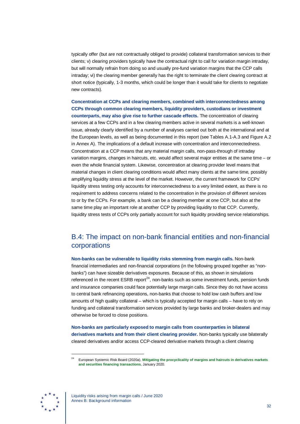typically offer (but are not contractually obliged to provide) collateral transformation services to their clients; v) clearing providers typically have the contractual right to call for variation margin intraday, but will normally refrain from doing so and usually pre-fund variation margins that the CCP calls intraday; vi) the clearing member generally has the right to terminate the client clearing contract at short notice (typically, 1-3 months, which could be longer than it would take for clients to negotiate new contracts).

**Concentration at CCPs and clearing members, combined with interconnectedness among CCPs through common clearing members, liquidity providers, custodians or investment counterparts, may also give rise to further cascade effects.** The concentration of clearing services at a few CCPs and in a few clearing members active in several markets is a well-known issue, already clearly identified by a number of analyses carried out both at the international and at the European levels, as well as being documented in this report (see Tables A.1-A.3 and Figure A.2 in Annex A). The implications of a default increase with concentration and interconnectedness. Concentration at a CCP means that any material margin calls, non-pass-through of intraday variation margins, changes in haircuts, etc. would affect several major entities at the same time – or even the whole financial system. Likewise, concentration at clearing provider level means that material changes in client clearing conditions would affect many clients at the same time, possibly amplifying liquidity stress at the level of the market. However, the current framework for CCPs' liquidity stress testing only accounts for interconnectedness to a very limited extent, as there is no requirement to address concerns related to the concentration in the provision of different services to or by the CCPs. For example, a bank can be a clearing member at one CCP, but also at the same time play an important role at another CCP by providing liquidity to that CCP. Currently, liquidity stress tests of CCPs only partially account for such liquidity providing service relationships.

## B.4: The impact on non-bank financial entities and non-financial corporations

**Non-banks can be vulnerable to liquidity risks stemming from margin calls.** Non-bank financial intermediaries and non-financial corporations (in the following grouped together as "nonbanks") can have sizeable derivatives exposures. Because of this, as shown in simulations referenced in the recent ESRB report $^{24}$  $^{24}$  $^{24}$ , non-banks such as some investment funds, pension funds and insurance companies could face potentially large margin calls. Since they do not have access to central bank refinancing operations, non-banks that choose to hold low cash buffers and low amounts of high quality collateral – which is typically accepted for margin calls – have to rely on funding and collateral transformation services provided by large banks and broker-dealers and may otherwise be forced to close positions.

**Non-banks are particularly exposed to margin calls from counterparties in bilateral derivatives markets and from their client clearing provider.** Non-banks typically use bilaterally cleared derivatives and/or access CCP-cleared derivative markets through a client clearing

<span id="page-32-0"></span>

<sup>24</sup> European Systemic Risk Board (2020a), **[Mitigating the procyclicality of margins and haircuts in derivatives markets](https://www.esrb.europa.eu/pub/pdf/reports/esrb.report_200109_mitigating_procyclicality_margins_haricuts%7E0f3e9f9e48.en.pdf)  [and securities financing transactions](https://www.esrb.europa.eu/pub/pdf/reports/esrb.report_200109_mitigating_procyclicality_margins_haricuts%7E0f3e9f9e48.en.pdf)**, January 2020.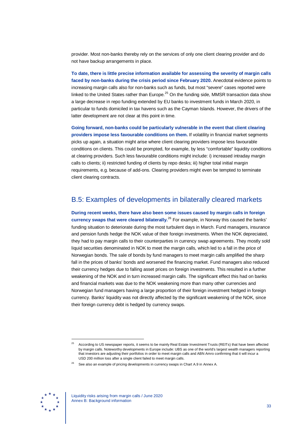provider. Most non-banks thereby rely on the services of only one client clearing provider and do not have backup arrangements in place.

**To date, there is little precise information available for assessing the severity of margin calls faced by non-banks during the crisis period since February 2020.** Anecdotal evidence points to increasing margin calls also for non-banks such as funds, but most "severe" cases reported were linked to the United States rather than Europe. $^{25}$  $^{25}$  $^{25}$  On the funding side, MMSR transaction data show a large decrease in repo funding extended by EU banks to investment funds in March 2020, in particular to funds domiciled in tax havens such as the Cayman Islands. However, the drivers of the latter development are not clear at this point in time.

**Going forward, non-banks could be particularly vulnerable in the event that client clearing providers impose less favourable conditions on them.** If volatility in financial market segments picks up again, a situation might arise where client clearing providers impose less favourable conditions on clients. This could be prompted, for example, by less "comfortable" liquidity conditions at clearing providers. Such less favourable conditions might include: i) increased intraday margin calls to clients; ii) restricted funding of clients by repo desks; iii) higher total initial margin requirements, e.g. because of add-ons. Clearing providers might even be tempted to terminate client clearing contracts.

## B.5: Examples of developments in bilaterally cleared markets

**During recent weeks, there have also been some issues caused by margin calls in foreign currency swaps that were cleared bilaterally.**[26](#page-33-1) For example, in Norway this caused the banks' funding situation to deteriorate during the most turbulent days in March. Fund managers, insurance and pension funds hedge the NOK value of their foreign investments. When the NOK depreciated, they had to pay margin calls to their counterparties in currency swap agreements. They mostly sold liquid securities denominated in NOK to meet the margin calls, which led to a fall in the price of Norwegian bonds. The sale of bonds by fund managers to meet margin calls amplified the sharp fall in the prices of banks' bonds and worsened the financing market. Fund managers also reduced their currency hedges due to falling asset prices on foreign investments. This resulted in a further weakening of the NOK and in turn increased margin calls. The significant effect this had on banks and financial markets was due to the NOK weakening more than many other currencies and Norwegian fund managers having a large proportion of their foreign investment hedged in foreign currency. Banks' liquidity was not directly affected by the significant weakening of the NOK, since their foreign currency debt is hedged by currency swaps.

<span id="page-33-1"></span><span id="page-33-0"></span>

<sup>&</sup>lt;sup>25</sup> According to US newspaper reports, it seems to be mainly Real Estate Investment Trusts (REITs) that have been affected by margin calls. Noteworthy developments in Europe include: UBS as one of the world's largest wealth managers reporting that investors are adjusting their portfolios in order to meet margin calls and ABN Amro confirming that it will incur a USD 200 million loss after a single client failed to meet margin calls.

 $26$  See also an example of pricing developments in currency swaps in Chart A.9 in Annex A.

Liquidity risks arising from margin calls / June 2020 Annex B: Background information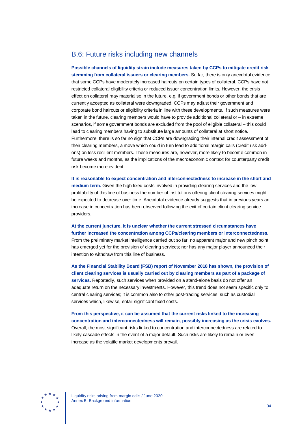## B.6: Future risks including new channels

**Possible channels of liquidity strain include measures taken by CCPs to mitigate credit risk stemming from collateral issuers or clearing members.** So far, there is only anecdotal evidence that some CCPs have moderately increased haircuts on certain types of collateral. CCPs have not restricted collateral eligibility criteria or reduced issuer concentration limits. However, the crisis effect on collateral may materialise in the future, e.g. if government bonds or other bonds that are currently accepted as collateral were downgraded. CCPs may adjust their government and corporate bond haircuts or eligibility criteria in line with these developments. If such measures were taken in the future, clearing members would have to provide additional collateral or – in extreme scenarios, if some government bonds are excluded from the pool of eligible collateral – this could lead to clearing members having to substitute large amounts of collateral at short notice. Furthermore, there is so far no sign that CCPs are downgrading their internal credit assessment of their clearing members, a move which could in turn lead to additional margin calls (credit risk addons) on less resilient members. These measures are, however, more likely to become common in future weeks and months, as the implications of the macroeconomic context for counterparty credit risk become more evident.

**It is reasonable to expect concentration and interconnectedness to increase in the short and medium term.** Given the high fixed costs involved in providing clearing services and the low profitability of this line of business the number of institutions offering client clearing services might be expected to decrease over time. Anecdotal evidence already suggests that in previous years an increase in concentration has been observed following the exit of certain client clearing service providers.

**At the current juncture, it is unclear whether the current stressed circumstances have further increased the concentration among CCPs/clearing members or interconnectedness.** From the preliminary market intelligence carried out so far, no apparent major and new pinch point has emerged yet for the provision of clearing services; nor has any major player announced their intention to withdraw from this line of business.

**As the Financial Stability Board (FSB) report of November 2018 has shown, the provision of client clearing services is usually carried out by clearing members as part of a package of services.** Reportedly, such services when provided on a stand-alone basis do not offer an adequate return on the necessary investments. However, this trend does not seem specific only to central clearing services; it is common also to other post-trading services, such as custodial services which, likewise, entail significant fixed costs.

**From this perspective, it can be assumed that the current risks linked to the increasing concentration and interconnectedness will remain, possibly increasing as the crisis evolves.** Overall, the most significant risks linked to concentration and interconnectedness are related to likely cascade effects in the event of a major default. Such risks are likely to remain or even increase as the volatile market developments prevail.



Liquidity risks arising from margin calls / June 2020 Annex B: Background information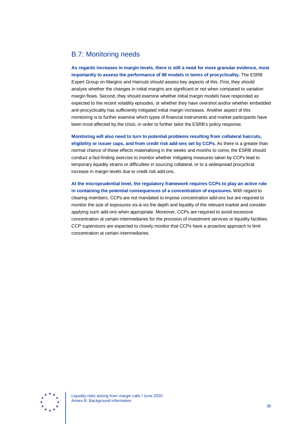## B.7: Monitoring needs

**As regards increases in margin levels, there is still a need for more granular evidence, most importantly to assess the performance of IM models in terms of procyclicality.** The ESRB Expert Group on Margins and Haircuts should assess key aspects of this. First, they should analyse whether the changes in initial margins are significant or not when compared to variation margin flows. Second, they should examine whether initial margin models have responded as expected to the recent volatility episodes, or whether they have overshot and/or whether embedded anti-procyclicality has sufficiently mitigated initial margin increases. Another aspect of this monitoring is to further examine which types of financial instruments and market participants have been most affected by the crisis, in order to further tailor the ESRB's policy response.

**Monitoring will also need to turn to potential problems resulting from collateral haircuts, eligibility or issuer caps, and from credit risk add-ons set by CCPs.** As there is a greater than normal chance of these effects materialising in the weeks and months to come, the ESRB should conduct a fact-finding exercise to monitor whether mitigating measures taken by CCPs lead to temporary liquidity strains or difficulties in sourcing collateral, or to a widespread procyclical increase in margin levels due to credit risk add-ons.

**At the microprudential level, the regulatory framework requires CCPs to play an active role in containing the potential consequences of a concentration of exposures.** With regard to clearing members, CCPs are not mandated to impose concentration add-ons but are required to monitor the size of exposures vis-à-vis the depth and liquidity of the relevant market and consider applying such add-ons when appropriate. Moreover, CCPs are required to avoid excessive concentration at certain intermediaries for the provision of investment services or liquidity facilities. CCP supervisors are expected to closely monitor that CCPs have a proactive approach to limit concentration at certain intermediaries.